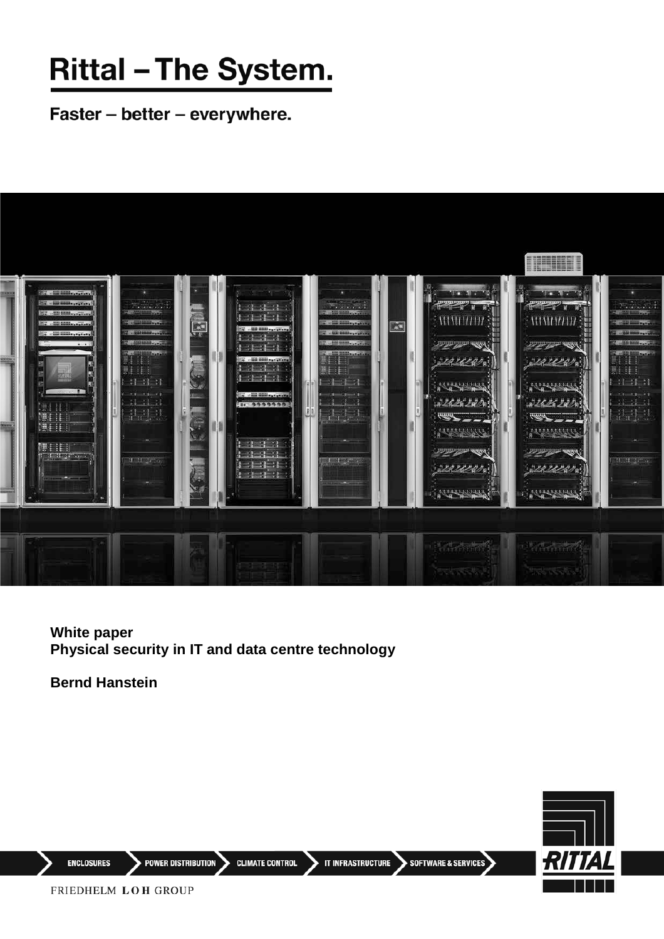# **Rittal - The System.**

Faster - better - everywhere.



#### **White paper Physical security in IT and data centre technology**

**Bernd Hanstein**



**ENCLOSURES** 

 $\blacktriangleright$  POWER DISTRIBUTION  $\blacktriangleright$ **CLIMATE CONTROL**  IT INFRASTRUCTURE SOFTWARE & SERVICES

FRIEDHELM LOH GROUP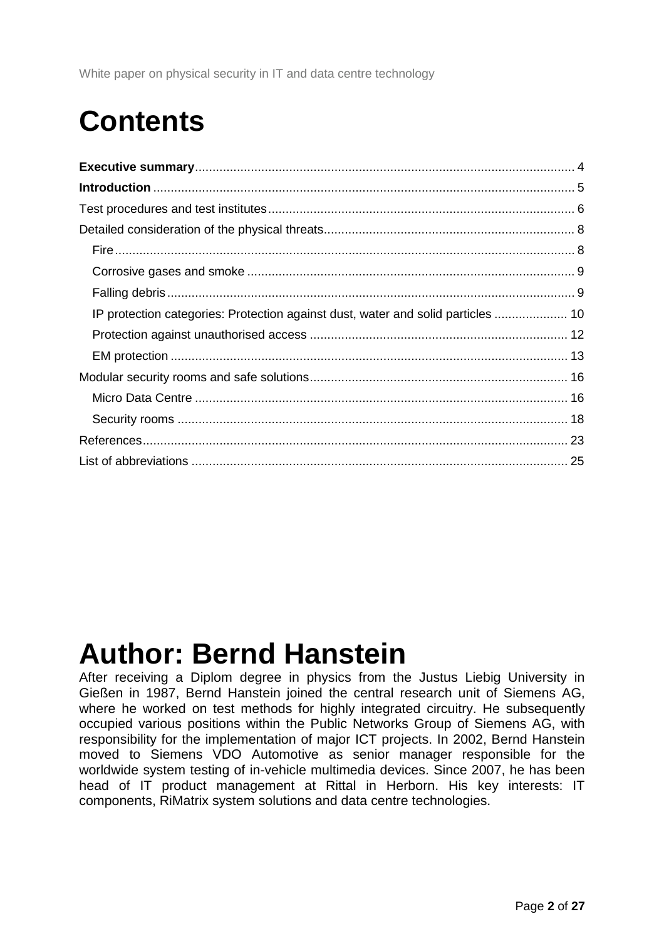### **Contents**

| IP protection categories: Protection against dust, water and solid particles  10 |  |
|----------------------------------------------------------------------------------|--|
|                                                                                  |  |
|                                                                                  |  |
|                                                                                  |  |
|                                                                                  |  |
|                                                                                  |  |
|                                                                                  |  |
|                                                                                  |  |

### **Author: Bernd Hanstein**

After receiving a Diplom degree in physics from the Justus Liebig University in Gießen in 1987, Bernd Hanstein joined the central research unit of Siemens AG, where he worked on test methods for highly integrated circuitry. He subsequently occupied various positions within the Public Networks Group of Siemens AG, with responsibility for the implementation of major ICT projects. In 2002, Bernd Hanstein moved to Siemens VDO Automotive as senior manager responsible for the worldwide system testing of in-vehicle multimedia devices. Since 2007, he has been head of IT product management at Rittal in Herborn. His key interests: IT components, RiMatrix system solutions and data centre technologies.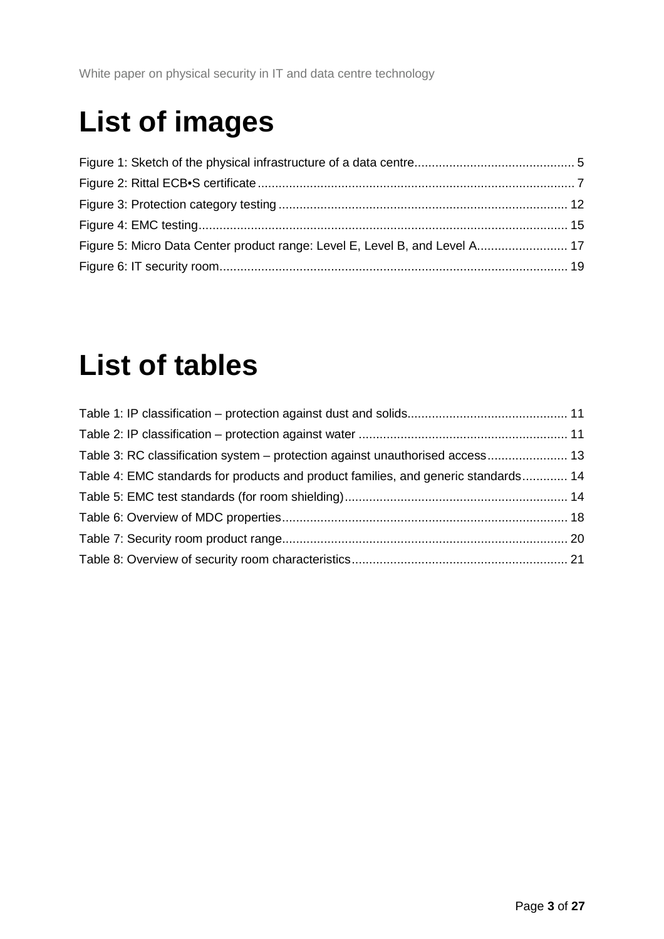# **List of images**

| Figure 5: Micro Data Center product range: Level E, Level B, and Level A 17 |  |
|-----------------------------------------------------------------------------|--|
|                                                                             |  |

### **List of tables**

| Table 3: RC classification system – protection against unauthorised access 13      |  |
|------------------------------------------------------------------------------------|--|
| Table 4: EMC standards for products and product families, and generic standards 14 |  |
|                                                                                    |  |
|                                                                                    |  |
|                                                                                    |  |
|                                                                                    |  |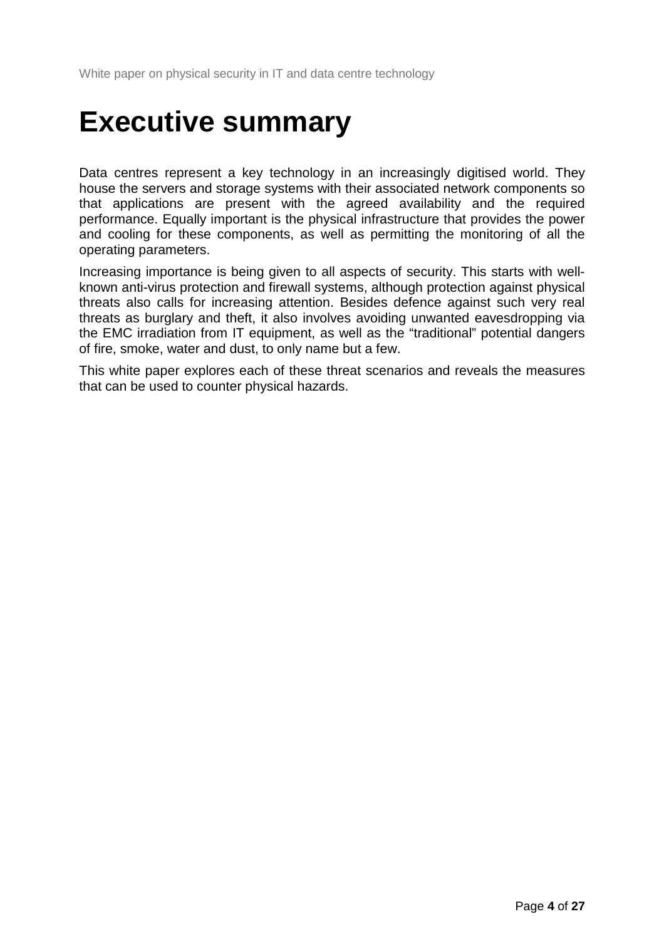### <span id="page-3-0"></span>**Executive summary**

Data centres represent a key technology in an increasingly digitised world. They house the servers and storage systems with their associated network components so that applications are present with the agreed availability and the required performance. Equally important is the physical infrastructure that provides the power and cooling for these components, as well as permitting the monitoring of all the operating parameters.

Increasing importance is being given to all aspects of security. This starts with wellknown anti-virus protection and firewall systems, although protection against physical threats also calls for increasing attention. Besides defence against such very real threats as burglary and theft, it also involves avoiding unwanted eavesdropping via the EMC irradiation from IT equipment, as well as the "traditional" potential dangers of fire, smoke, water and dust, to only name but a few.

This white paper explores each of these threat scenarios and reveals the measures that can be used to counter physical hazards.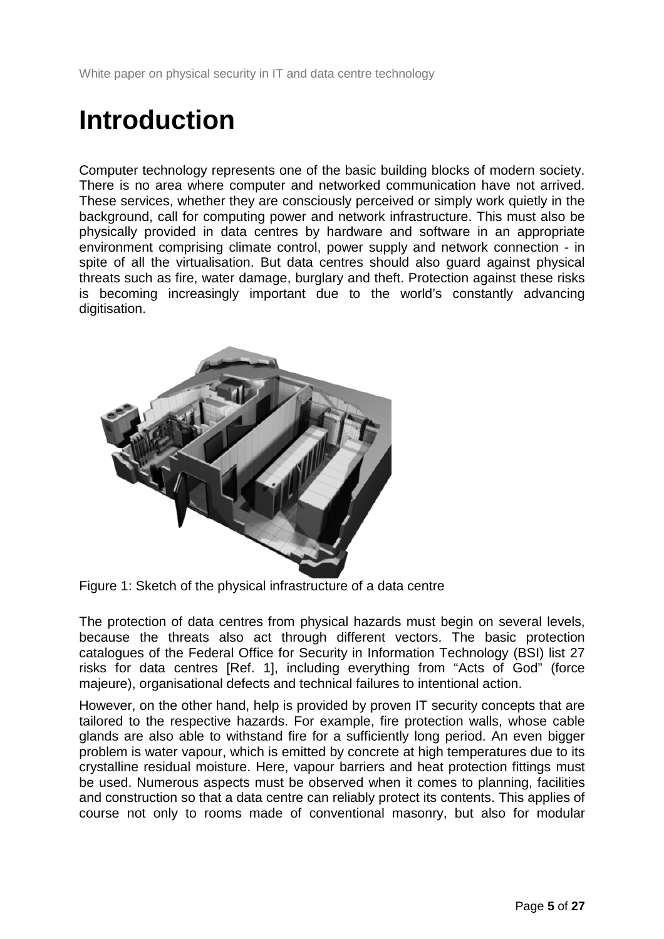### <span id="page-4-0"></span>**Introduction**

Computer technology represents one of the basic building blocks of modern society. There is no area where computer and networked communication have not arrived. These services, whether they are consciously perceived or simply work quietly in the background, call for computing power and network infrastructure. This must also be physically provided in data centres by hardware and software in an appropriate environment comprising climate control, power supply and network connection - in spite of all the virtualisation. But data centres should also guard against physical threats such as fire, water damage, burglary and theft. Protection against these risks is becoming increasingly important due to the world's constantly advancing digitisation.



Figure 1: Sketch of the physical infrastructure of a data centre

The protection of data centres from physical hazards must begin on several levels, because the threats also act through different vectors. The basic protection catalogues of the Federal Office for Security in Information Technology (BSI) list 27 risks for data centres [\[Ref. 1\]](#page-22-1), including everything from "Acts of God" (force majeure), organisational defects and technical failures to intentional action.

However, on the other hand, help is provided by proven IT security concepts that are tailored to the respective hazards. For example, fire protection walls, whose cable glands are also able to withstand fire for a sufficiently long period. An even bigger problem is water vapour, which is emitted by concrete at high temperatures due to its crystalline residual moisture. Here, vapour barriers and heat protection fittings must be used. Numerous aspects must be observed when it comes to planning, facilities and construction so that a data centre can reliably protect its contents. This applies of course not only to rooms made of conventional masonry, but also for modular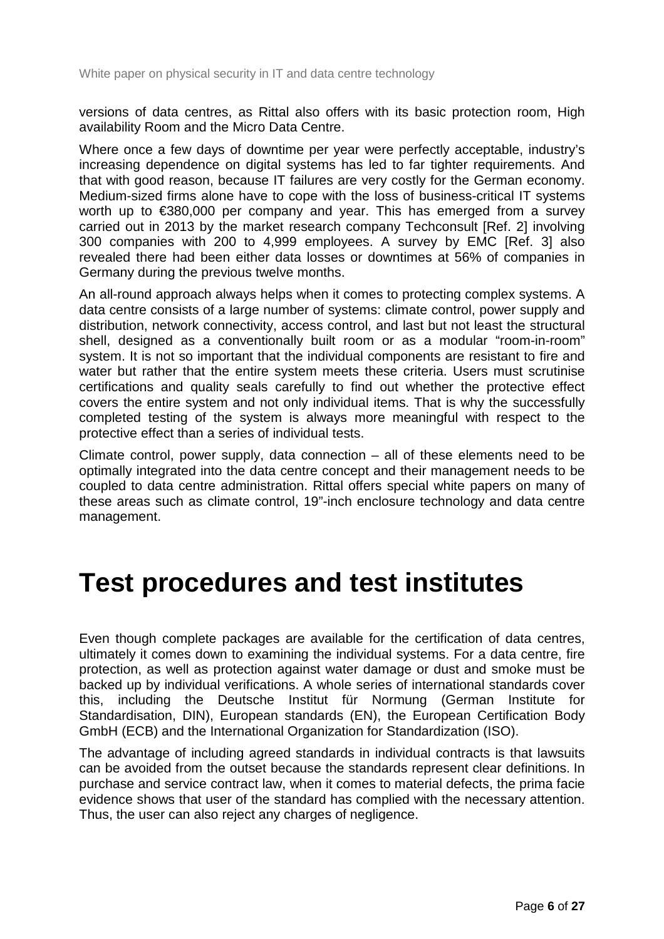versions of data centres, as Rittal also offers with its basic protection room, High availability Room and the Micro Data Centre.

Where once a few days of downtime per year were perfectly acceptable, industry's increasing dependence on digital systems has led to far tighter requirements. And that with good reason, because IT failures are very costly for the German economy. Medium-sized firms alone have to cope with the loss of business-critical IT systems worth up to €380,000 per company and year. This has emerged from a survey carried out in 2013 by the market research company Techconsult [\[Ref. 2\]](#page-22-2) involving 300 companies with 200 to 4,999 employees. A survey by EMC [\[Ref. 3\]](#page-22-3) also revealed there had been either data losses or downtimes at 56% of companies in Germany during the previous twelve months.

An all-round approach always helps when it comes to protecting complex systems. A data centre consists of a large number of systems: climate control, power supply and distribution, network connectivity, access control, and last but not least the structural shell, designed as a conventionally built room or as a modular "room-in-room" system. It is not so important that the individual components are resistant to fire and water but rather that the entire system meets these criteria. Users must scrutinise certifications and quality seals carefully to find out whether the protective effect covers the entire system and not only individual items. That is why the successfully completed testing of the system is always more meaningful with respect to the protective effect than a series of individual tests.

Climate control, power supply, data connection – all of these elements need to be optimally integrated into the data centre concept and their management needs to be coupled to data centre administration. Rittal offers special white papers on many of these areas such as climate control, 19"-inch enclosure technology and data centre management.

### <span id="page-5-0"></span>**Test procedures and test institutes**

Even though complete packages are available for the certification of data centres, ultimately it comes down to examining the individual systems. For a data centre, fire protection, as well as protection against water damage or dust and smoke must be backed up by individual verifications. A whole series of international standards cover this, including the Deutsche Institut für Normung (German Institute for Standardisation, DIN), European standards (EN), the European Certification Body GmbH (ECB) and the International Organization for Standardization (ISO).

The advantage of including agreed standards in individual contracts is that lawsuits can be avoided from the outset because the standards represent clear definitions. In purchase and service contract law, when it comes to material defects, the prima facie evidence shows that user of the standard has complied with the necessary attention. Thus, the user can also reject any charges of negligence.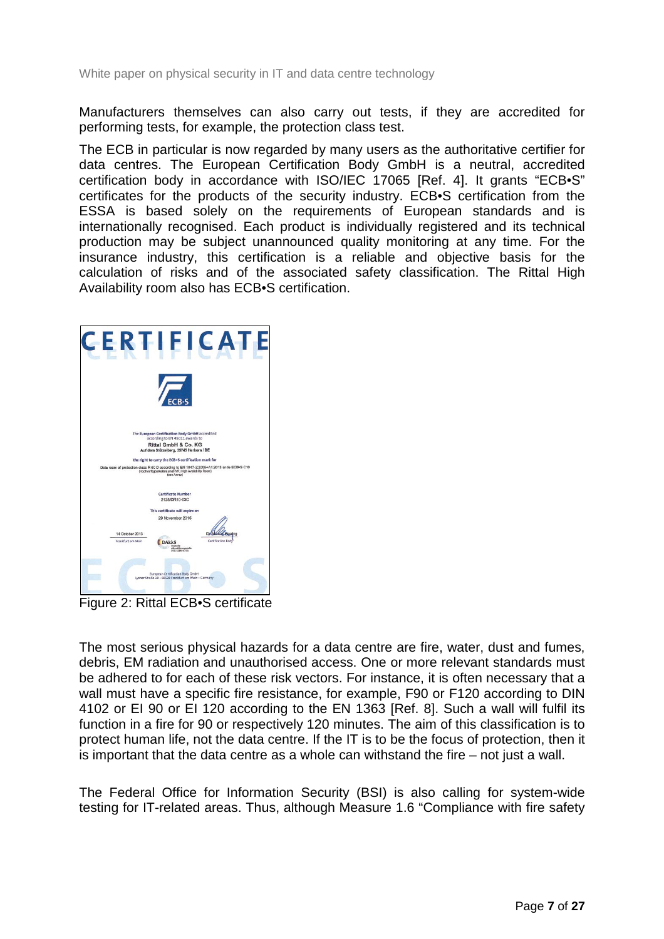Manufacturers themselves can also carry out tests, if they are accredited for performing tests, for example, the protection class test.

The ECB in particular is now regarded by many users as the authoritative certifier for data centres. The European Certification Body GmbH is a neutral, accredited certification body in accordance with ISO/IEC 17065 [\[Ref. 4\]](#page-22-4). It grants "ECB•S" certificates for the products of the security industry. ECB•S certification from the ESSA is based solely on the requirements of European standards and is internationally recognised. Each product is individually registered and its technical production may be subject unannounced quality monitoring at any time. For the insurance industry, this certification is a reliable and objective basis for the calculation of risks and of the associated safety classification. The Rittal High Availability room also has ECB•S certification.



Figure 2: Rittal ECB•S certificate

The most serious physical hazards for a data centre are fire, water, dust and fumes, debris, EM radiation and unauthorised access. One or more relevant standards must be adhered to for each of these risk vectors. For instance, it is often necessary that a wall must have a specific fire resistance, for example, F90 or F120 according to DIN 4102 or EI 90 or EI 120 according to the EN 1363 [\[Ref. 8\]](#page-22-5). Such a wall will fulfil its function in a fire for 90 or respectively 120 minutes. The aim of this classification is to protect human life, not the data centre. If the IT is to be the focus of protection, then it is important that the data centre as a whole can withstand the fire – not just a wall.

The Federal Office for Information Security (BSI) is also calling for system-wide testing for IT-related areas. Thus, although Measure 1.6 "Compliance with fire safety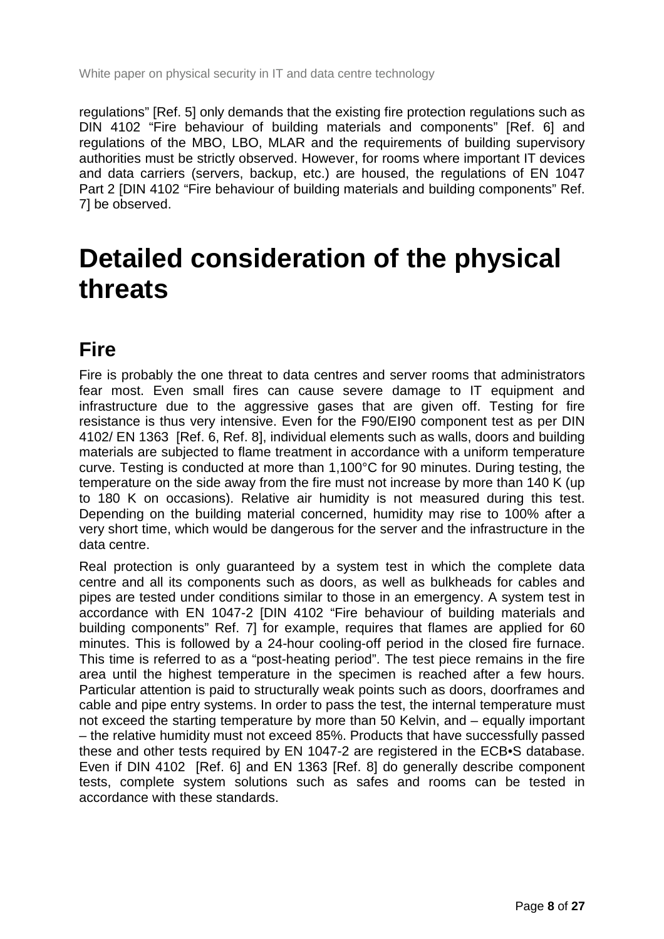regulations" [\[Ref. 5\]](#page-22-6) only demands that the existing fire protection regulations such as DIN 4102 "Fire behaviour of building materials and components" [\[Ref. 6\]](#page-22-7) and regulations of the MBO, LBO, MLAR and the requirements of building supervisory authorities must be strictly observed. However, for rooms where important IT devices and data carriers (servers, backup, etc.) are housed, the regulations of EN 1047 Part 2 [\[DIN 4102 "Fire behaviour of building materials and building components"](#page-22-8) Ref. [7\]](#page-22-8) be observed.

### <span id="page-7-0"></span>**Detailed consideration of the physical threats**

### <span id="page-7-1"></span>**Fire**

Fire is probably the one threat to data centres and server rooms that administrators fear most. Even small fires can cause severe damage to IT equipment and infrastructure due to the aggressive gases that are given off. Testing for fire resistance is thus very intensive. Even for the F90/EI90 component test as per DIN 4102/ EN 1363 [\[Ref. 6,](#page-22-7) [Ref. 8\]](#page-22-5), individual elements such as walls, doors and building materials are subjected to flame treatment in accordance with a uniform temperature curve. Testing is conducted at more than 1,100°C for 90 minutes. During testing, the temperature on the side away from the fire must not increase by more than 140 K (up to 180 K on occasions). Relative air humidity is not measured during this test. Depending on the building material concerned, humidity may rise to 100% after a very short time, which would be dangerous for the server and the infrastructure in the data centre.

Real protection is only guaranteed by a system test in which the complete data centre and all its components such as doors, as well as bulkheads for cables and pipes are tested under conditions similar to those in an emergency. A system test in accordance with EN 1047-2 [DIN [4102 "Fire behaviour of building materials and](#page-22-8)  [building components"](#page-22-8) Ref. 7] for example, requires that flames are applied for 60 minutes. This is followed by a 24-hour cooling-off period in the closed fire furnace. This time is referred to as a "post-heating period". The test piece remains in the fire area until the highest temperature in the specimen is reached after a few hours. Particular attention is paid to structurally weak points such as doors, doorframes and cable and pipe entry systems. In order to pass the test, the internal temperature must not exceed the starting temperature by more than 50 Kelvin, and – equally important – the relative humidity must not exceed 85%. Products that have successfully passed these and other tests required by EN 1047-2 are registered in the ECB•S database. Even if DIN 4102 [\[Ref. 6\]](#page-22-7) and EN 1363 [\[Ref. 8\]](#page-22-5) do generally describe component tests, complete system solutions such as safes and rooms can be tested in accordance with these standards.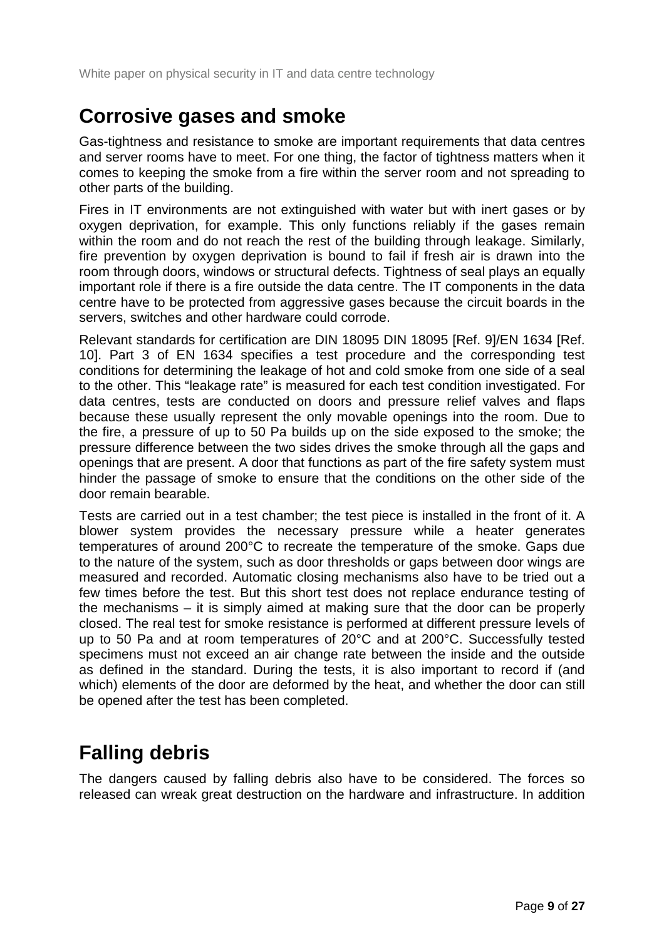#### <span id="page-8-0"></span>**Corrosive gases and smoke**

Gas-tightness and resistance to smoke are important requirements that data centres and server rooms have to meet. For one thing, the factor of tightness matters when it comes to keeping the smoke from a fire within the server room and not spreading to other parts of the building.

Fires in IT environments are not extinguished with water but with inert gases or by oxygen deprivation, for example. This only functions reliably if the gases remain within the room and do not reach the rest of the building through leakage. Similarly, fire prevention by oxygen deprivation is bound to fail if fresh air is drawn into the room through doors, windows or structural defects. Tightness of seal plays an equally important role if there is a fire outside the data centre. The IT components in the data centre have to be protected from aggressive gases because the circuit boards in the servers, switches and other hardware could corrode.

Relevant standards for certification are DIN 18095 DIN 18095 [\[Ref. 9\]](#page-22-9)/EN 1634 [\[Ref.](#page-22-10)  [10\]](#page-22-10). Part 3 of EN 1634 specifies a test procedure and the corresponding test conditions for determining the leakage of hot and cold smoke from one side of a seal to the other. This "leakage rate" is measured for each test condition investigated. For data centres, tests are conducted on doors and pressure relief valves and flaps because these usually represent the only movable openings into the room. Due to the fire, a pressure of up to 50 Pa builds up on the side exposed to the smoke; the pressure difference between the two sides drives the smoke through all the gaps and openings that are present. A door that functions as part of the fire safety system must hinder the passage of smoke to ensure that the conditions on the other side of the door remain bearable.

Tests are carried out in a test chamber; the test piece is installed in the front of it. A blower system provides the necessary pressure while a heater generates temperatures of around 200°C to recreate the temperature of the smoke. Gaps due to the nature of the system, such as door thresholds or gaps between door wings are measured and recorded. Automatic closing mechanisms also have to be tried out a few times before the test. But this short test does not replace endurance testing of the mechanisms – it is simply aimed at making sure that the door can be properly closed. The real test for smoke resistance is performed at different pressure levels of up to 50 Pa and at room temperatures of 20°C and at 200°C. Successfully tested specimens must not exceed an air change rate between the inside and the outside as defined in the standard. During the tests, it is also important to record if (and which) elements of the door are deformed by the heat, and whether the door can still be opened after the test has been completed.

### <span id="page-8-1"></span>**Falling debris**

The dangers caused by falling debris also have to be considered. The forces so released can wreak great destruction on the hardware and infrastructure. In addition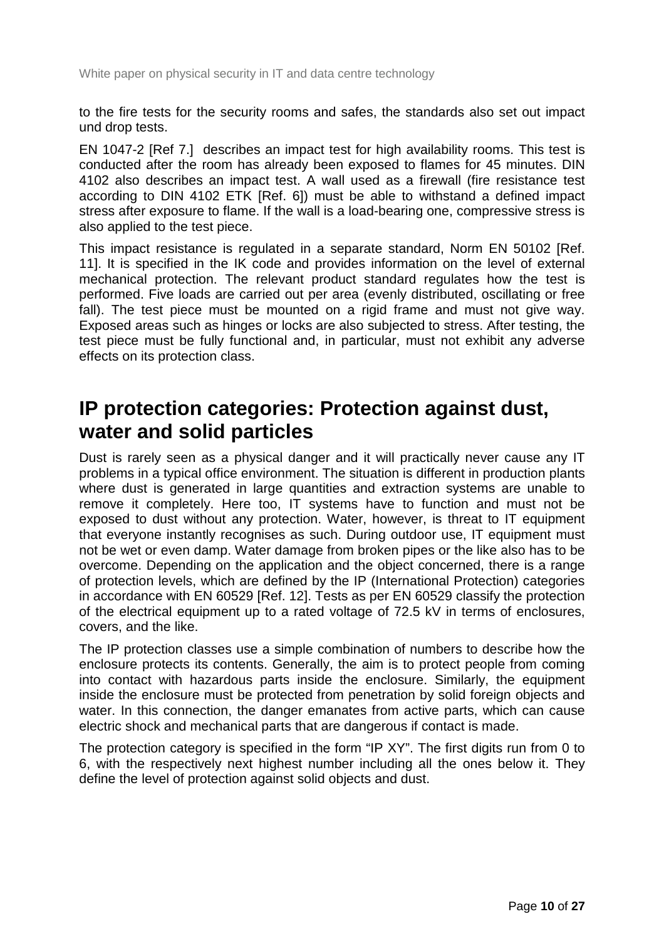to the fire tests for the security rooms and safes, the standards also set out impact und drop tests.

EN 1047-2 [Ref 7.] describes an impact test for high availability rooms. This test is conducted after the room has already been exposed to flames for 45 minutes. DIN 4102 also describes an impact test. A wall used as a firewall (fire resistance test according to DIN 4102 ETK [\[Ref. 6\]](#page-22-7)) must be able to withstand a defined impact stress after exposure to flame. If the wall is a load-bearing one, compressive stress is also applied to the test piece.

This impact resistance is regulated in a separate standard, Norm EN 50102 [\[Ref.](#page-22-11)  [11\]](#page-22-11). It is specified in the IK code and provides information on the level of external mechanical protection. The relevant product standard regulates how the test is performed. Five loads are carried out per area (evenly distributed, oscillating or free fall). The test piece must be mounted on a rigid frame and must not give way. Exposed areas such as hinges or locks are also subjected to stress. After testing, the test piece must be fully functional and, in particular, must not exhibit any adverse effects on its protection class.

#### <span id="page-9-0"></span>**IP protection categories: Protection against dust, water and solid particles**

Dust is rarely seen as a physical danger and it will practically never cause any IT problems in a typical office environment. The situation is different in production plants where dust is generated in large quantities and extraction systems are unable to remove it completely. Here too, IT systems have to function and must not be exposed to dust without any protection. Water, however, is threat to IT equipment that everyone instantly recognises as such. During outdoor use, IT equipment must not be wet or even damp. Water damage from broken pipes or the like also has to be overcome. Depending on the application and the object concerned, there is a range of protection levels, which are defined by the IP (International Protection) categories in accordance with EN 60529 [\[Ref. 12\]](#page-22-12). Tests as per EN 60529 classify the protection of the electrical equipment up to a rated voltage of 72.5 kV in terms of enclosures, covers, and the like.

The IP protection classes use a simple combination of numbers to describe how the enclosure protects its contents. Generally, the aim is to protect people from coming into contact with hazardous parts inside the enclosure. Similarly, the equipment inside the enclosure must be protected from penetration by solid foreign objects and water. In this connection, the danger emanates from active parts, which can cause electric shock and mechanical parts that are dangerous if contact is made.

The protection category is specified in the form "IP XY". The first digits run from 0 to 6, with the respectively next highest number including all the ones below it. They define the level of protection against solid objects and dust.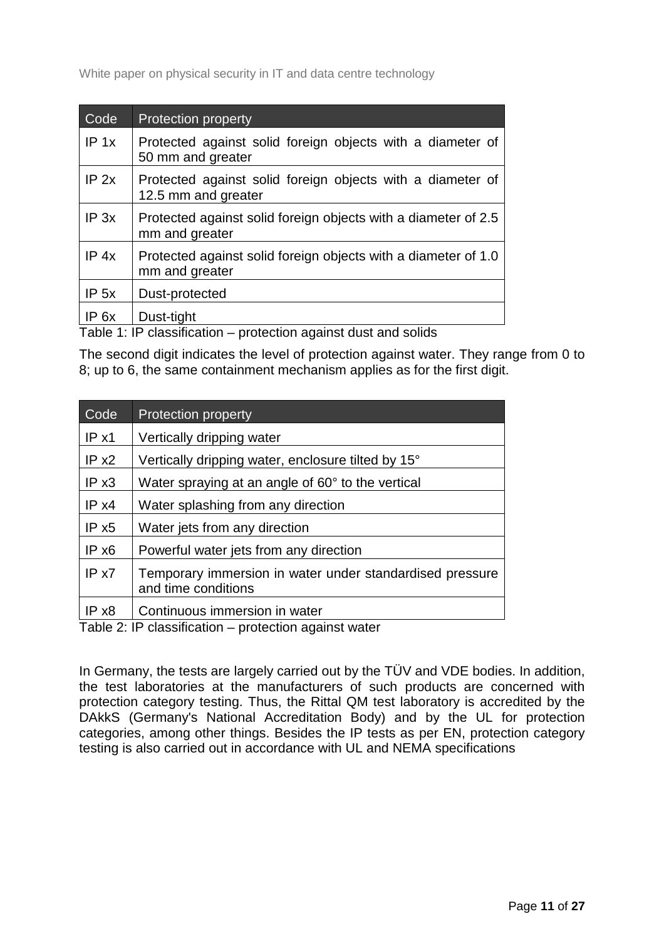| Code             | <b>Protection property</b>                                                        |
|------------------|-----------------------------------------------------------------------------------|
| IP 1x            | Protected against solid foreign objects with a diameter of<br>50 mm and greater   |
| $IP$ 2x          | Protected against solid foreign objects with a diameter of<br>12.5 mm and greater |
| IP 3x            | Protected against solid foreign objects with a diameter of 2.5<br>mm and greater  |
| IP 4x            | Protected against solid foreign objects with a diameter of 1.0<br>mm and greater  |
| IP <sub>5x</sub> | Dust-protected                                                                    |
| IP 6x            | Dust-tight                                                                        |

<span id="page-10-0"></span>Table 1: IP classification – protection against dust and solids

The second digit indicates the level of protection against water. They range from 0 to 8; up to 6, the same containment mechanism applies as for the first digit.

| Code  | <b>Protection property</b>                                                         |
|-------|------------------------------------------------------------------------------------|
| IPx1  | Vertically dripping water                                                          |
| IP x2 | Vertically dripping water, enclosure tilted by 15°                                 |
| IPx3  | Water spraying at an angle of 60° to the vertical                                  |
| IP x4 | Water splashing from any direction                                                 |
| IPx5  | Water jets from any direction                                                      |
| IPx6  | Powerful water jets from any direction                                             |
| IP x7 | Temporary immersion in water under standardised pressure<br>and time conditions    |
| IP x8 | Continuous immersion in water<br>Toble 0. ID elegation in protection against unter |

<span id="page-10-1"></span>Table 2: IP classification – protection against water

In Germany, the tests are largely carried out by the TÜV and VDE bodies. In addition, the test laboratories at the manufacturers of such products are concerned with protection category testing. Thus, the Rittal QM test laboratory is accredited by the DAkkS (Germany's National Accreditation Body) and by the UL for protection categories, among other things. Besides the IP tests as per EN, protection category testing is also carried out in accordance with UL and NEMA specifications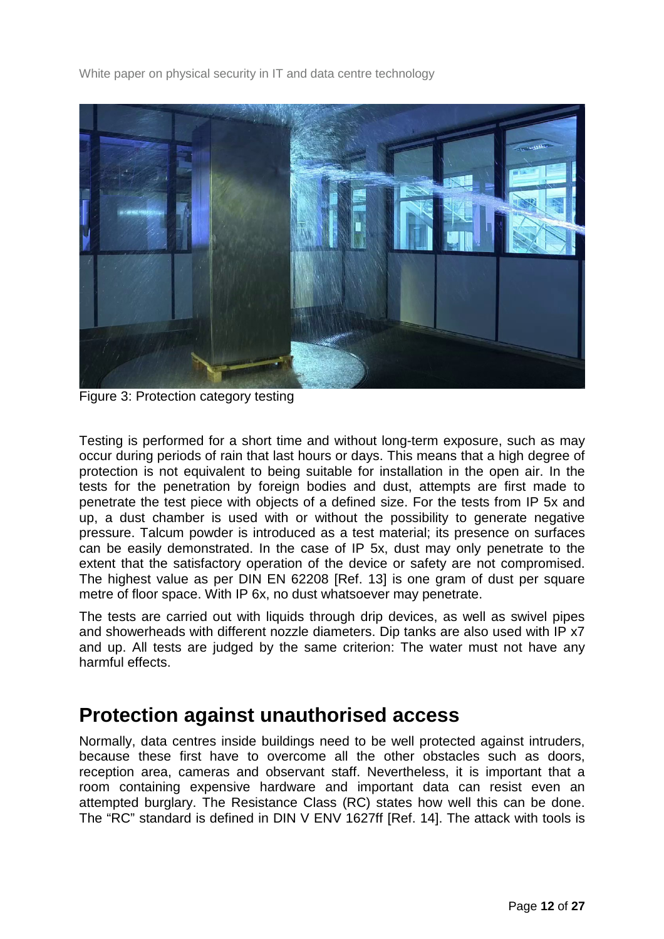

Figure 3: Protection category testing

Testing is performed for a short time and without long-term exposure, such as may occur during periods of rain that last hours or days. This means that a high degree of protection is not equivalent to being suitable for installation in the open air. In the tests for the penetration by foreign bodies and dust, attempts are first made to penetrate the test piece with objects of a defined size. For the tests from IP 5x and up, a dust chamber is used with or without the possibility to generate negative pressure. Talcum powder is introduced as a test material; its presence on surfaces can be easily demonstrated. In the case of IP 5x, dust may only penetrate to the extent that the satisfactory operation of the device or safety are not compromised. The highest value as per DIN EN 62208 [\[Ref. 13\]](#page-23-1) is one gram of dust per square metre of floor space. With IP 6x, no dust whatsoever may penetrate.

The tests are carried out with liquids through drip devices, as well as swivel pipes and showerheads with different nozzle diameters. Dip tanks are also used with IP x7 and up. All tests are judged by the same criterion: The water must not have any harmful effects.

#### <span id="page-11-0"></span>**Protection against unauthorised access**

Normally, data centres inside buildings need to be well protected against intruders, because these first have to overcome all the other obstacles such as doors, reception area, cameras and observant staff. Nevertheless, it is important that a room containing expensive hardware and important data can resist even an attempted burglary. The Resistance Class (RC) states how well this can be done. The "RC" standard is defined in DIN V ENV 1627ff [\[Ref. 14\]](#page-23-2). The attack with tools is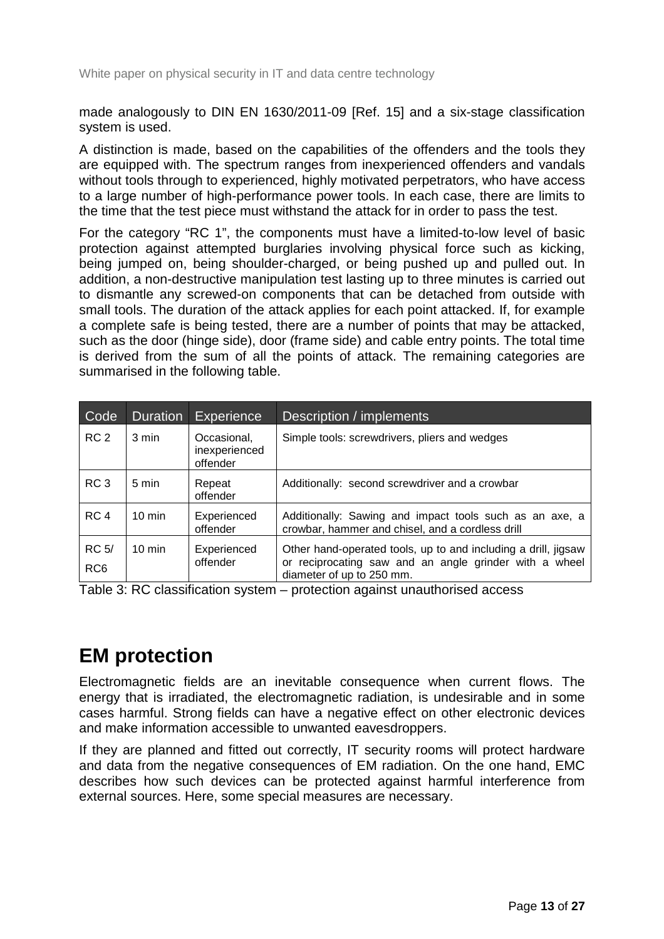made analogously to DIN EN 1630/2011-09 [\[Ref. 15\]](#page-23-3) and a six-stage classification system is used.

A distinction is made, based on the capabilities of the offenders and the tools they are equipped with. The spectrum ranges from inexperienced offenders and vandals without tools through to experienced, highly motivated perpetrators, who have access to a large number of high-performance power tools. In each case, there are limits to the time that the test piece must withstand the attack for in order to pass the test.

For the category "RC 1", the components must have a limited-to-low level of basic protection against attempted burglaries involving physical force such as kicking, being jumped on, being shoulder-charged, or being pushed up and pulled out. In addition, a non-destructive manipulation test lasting up to three minutes is carried out to dismantle any screwed-on components that can be detached from outside with small tools. The duration of the attack applies for each point attacked. If, for example a complete safe is being tested, there are a number of points that may be attacked, such as the door (hinge side), door (frame side) and cable entry points. The total time is derived from the sum of all the points of attack. The remaining categories are summarised in the following table.

| Code                            | <b>Duration</b>  | Experience                               | Description / implements                                                                                                                                 |
|---------------------------------|------------------|------------------------------------------|----------------------------------------------------------------------------------------------------------------------------------------------------------|
| RC <sub>2</sub>                 | $3 \text{ min}$  | Occasional,<br>inexperienced<br>offender | Simple tools: screwdrivers, pliers and wedges                                                                                                            |
| RC <sub>3</sub>                 | 5 min            | Repeat<br>offender                       | Additionally: second screwdriver and a crowbar                                                                                                           |
| RC <sub>4</sub>                 | $10 \text{ min}$ | Experienced<br>offender                  | Additionally: Sawing and impact tools such as an axe, a<br>crowbar, hammer and chisel, and a cordless drill                                              |
| <b>RC 5/</b><br>RC <sub>6</sub> | $10 \text{ min}$ | Experienced<br>offender                  | Other hand-operated tools, up to and including a drill, jigsaw<br>reciprocating saw and an angle grinder with a wheel<br>or<br>diameter of up to 250 mm. |

<span id="page-12-1"></span>Table 3: RC classification system – protection against unauthorised access

#### <span id="page-12-0"></span>**EM protection**

Electromagnetic fields are an inevitable consequence when current flows. The energy that is irradiated, the electromagnetic radiation, is undesirable and in some cases harmful. Strong fields can have a negative effect on other electronic devices and make information accessible to unwanted eavesdroppers.

If they are planned and fitted out correctly, IT security rooms will protect hardware and data from the negative consequences of EM radiation. On the one hand, EMC describes how such devices can be protected against harmful interference from external sources. Here, some special measures are necessary.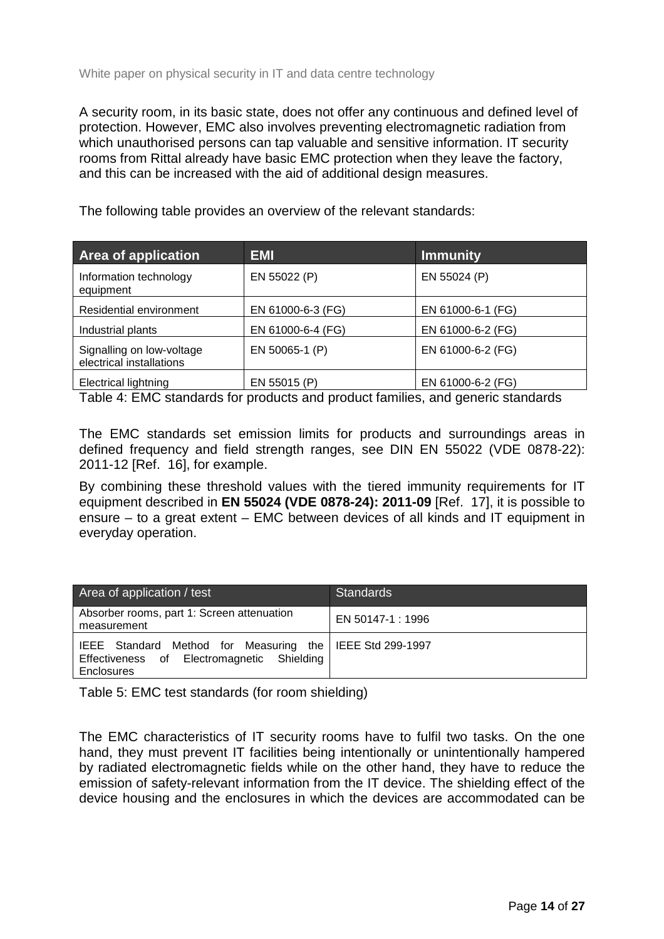A security room, in its basic state, does not offer any continuous and defined level of protection. However, EMC also involves preventing electromagnetic radiation from which unauthorised persons can tap valuable and sensitive information. IT security rooms from Rittal already have basic EMC protection when they leave the factory, and this can be increased with the aid of additional design measures.

The following table provides an overview of the relevant standards:

| <b>Area of application</b>                            | <b>EMI</b>        | Immunity          |
|-------------------------------------------------------|-------------------|-------------------|
| Information technology<br>equipment                   | EN 55022 (P)      | EN 55024 (P)      |
| Residential environment                               | EN 61000-6-3 (FG) | EN 61000-6-1 (FG) |
| Industrial plants                                     | EN 61000-6-4 (FG) | EN 61000-6-2 (FG) |
| Signalling on low-voltage<br>electrical installations | EN 50065-1 (P)    | EN 61000-6-2 (FG) |
| <b>Electrical lightning</b>                           | EN 55015 (P)      | EN 61000-6-2 (FG) |

<span id="page-13-0"></span>Table 4: EMC standards for products and product families, and generic standards

The EMC standards set emission limits for products and surroundings areas in defined frequency and field strength ranges, see DIN EN 55022 (VDE 0878-22): 2011-12 [\[Ref. 16\]](#page-23-4), for example.

By combining these threshold values with the tiered immunity requirements for IT equipment described in **EN 55024 (VDE 0878-24): 2011-09** [\[Ref. 17\]](#page-23-5), it is possible to ensure – to a great extent – EMC between devices of all kinds and IT equipment in everyday operation.

| Area of application / test                                                                                                    | <b>Standards</b>  |
|-------------------------------------------------------------------------------------------------------------------------------|-------------------|
| Absorber rooms, part 1: Screen attenuation<br>measurement                                                                     | EN 50147-1 : 1996 |
| IEEE Standard Method for Measuring the   IEEE Std 299-1997<br>Effectiveness of Electromagnetic Shielding<br><b>Enclosures</b> |                   |

<span id="page-13-1"></span>Table 5: EMC test standards (for room shielding)

The EMC characteristics of IT security rooms have to fulfil two tasks. On the one hand, they must prevent IT facilities being intentionally or unintentionally hampered by radiated electromagnetic fields while on the other hand, they have to reduce the emission of safety-relevant information from the IT device. The shielding effect of the device housing and the enclosures in which the devices are accommodated can be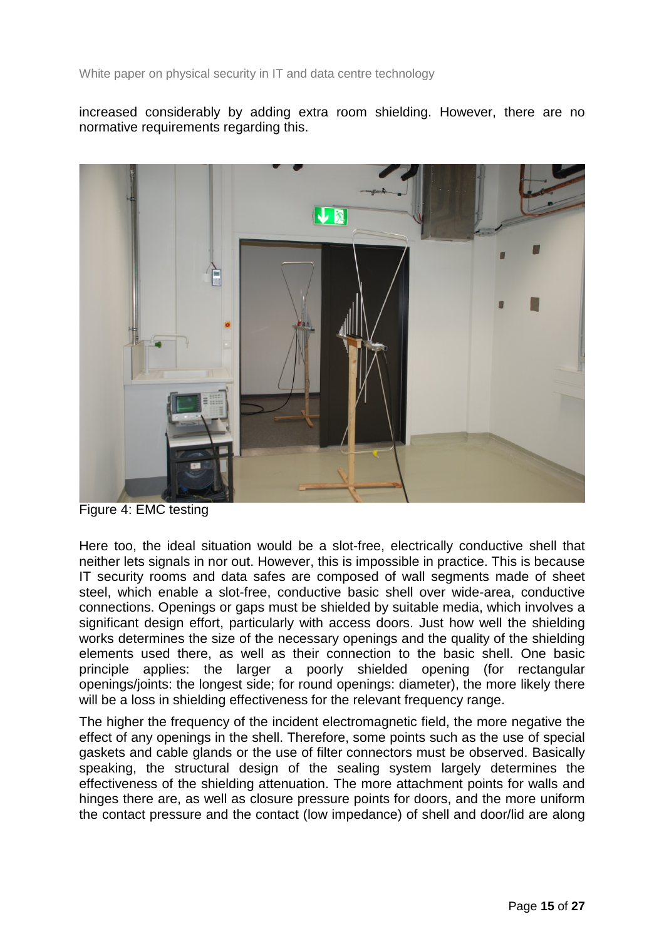increased considerably by adding extra room shielding. However, there are no normative requirements regarding this.



Figure 4: EMC testing

Here too, the ideal situation would be a slot-free, electrically conductive shell that neither lets signals in nor out. However, this is impossible in practice. This is because IT security rooms and data safes are composed of wall segments made of sheet steel, which enable a slot-free, conductive basic shell over wide-area, conductive connections. Openings or gaps must be shielded by suitable media, which involves a significant design effort, particularly with access doors. Just how well the shielding works determines the size of the necessary openings and the quality of the shielding elements used there, as well as their connection to the basic shell. One basic principle applies: the larger a poorly shielded opening (for rectangular openings/joints: the longest side; for round openings: diameter), the more likely there will be a loss in shielding effectiveness for the relevant frequency range.

The higher the frequency of the incident electromagnetic field, the more negative the effect of any openings in the shell. Therefore, some points such as the use of special gaskets and cable glands or the use of filter connectors must be observed. Basically speaking, the structural design of the sealing system largely determines the effectiveness of the shielding attenuation. The more attachment points for walls and hinges there are, as well as closure pressure points for doors, and the more uniform the contact pressure and the contact (low impedance) of shell and door/lid are along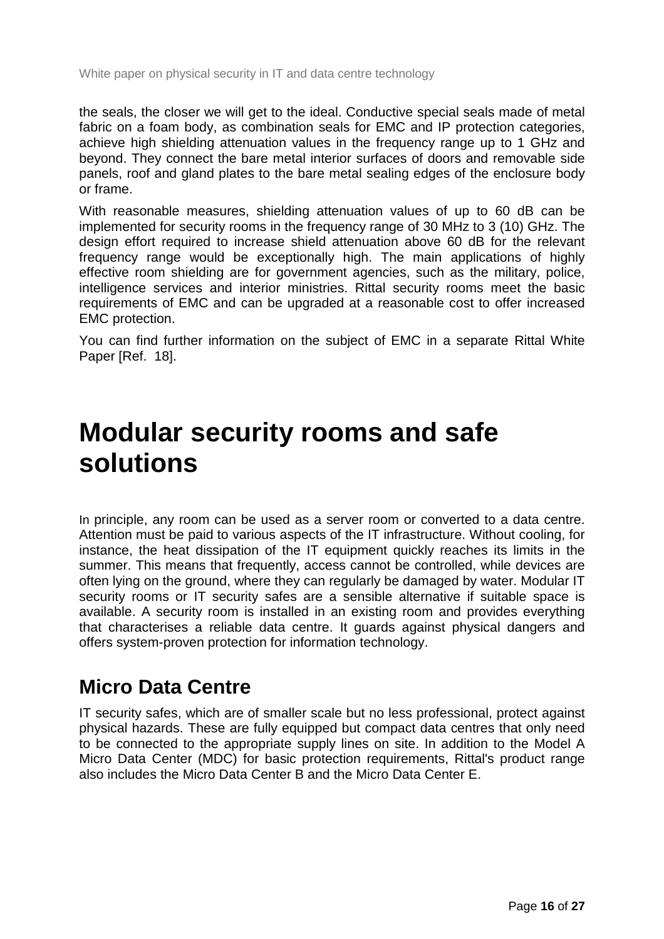the seals, the closer we will get to the ideal. Conductive special seals made of metal fabric on a foam body, as combination seals for EMC and IP protection categories, achieve high shielding attenuation values in the frequency range up to 1 GHz and beyond. They connect the bare metal interior surfaces of doors and removable side panels, roof and gland plates to the bare metal sealing edges of the enclosure body or frame.

With reasonable measures, shielding attenuation values of up to 60 dB can be implemented for security rooms in the frequency range of 30 MHz to 3 (10) GHz. The design effort required to increase shield attenuation above 60 dB for the relevant frequency range would be exceptionally high. The main applications of highly effective room shielding are for government agencies, such as the military, police, intelligence services and interior ministries. Rittal security rooms meet the basic requirements of EMC and can be upgraded at a reasonable cost to offer increased EMC protection.

You can find further information on the subject of EMC in a separate Rittal White Paper [\[Ref. 18\]](#page-23-6).

### <span id="page-15-0"></span>**Modular security rooms and safe solutions**

In principle, any room can be used as a server room or converted to a data centre. Attention must be paid to various aspects of the IT infrastructure. Without cooling, for instance, the heat dissipation of the IT equipment quickly reaches its limits in the summer. This means that frequently, access cannot be controlled, while devices are often lying on the ground, where they can regularly be damaged by water. Modular IT security rooms or IT security safes are a sensible alternative if suitable space is available. A security room is installed in an existing room and provides everything that characterises a reliable data centre. It guards against physical dangers and offers system-proven protection for information technology.

#### <span id="page-15-1"></span>**Micro Data Centre**

IT security safes, which are of smaller scale but no less professional, protect against physical hazards. These are fully equipped but compact data centres that only need to be connected to the appropriate supply lines on site. In addition to the Model A Micro Data Center (MDC) for basic protection requirements, Rittal's product range also includes the Micro Data Center B and the Micro Data Center E.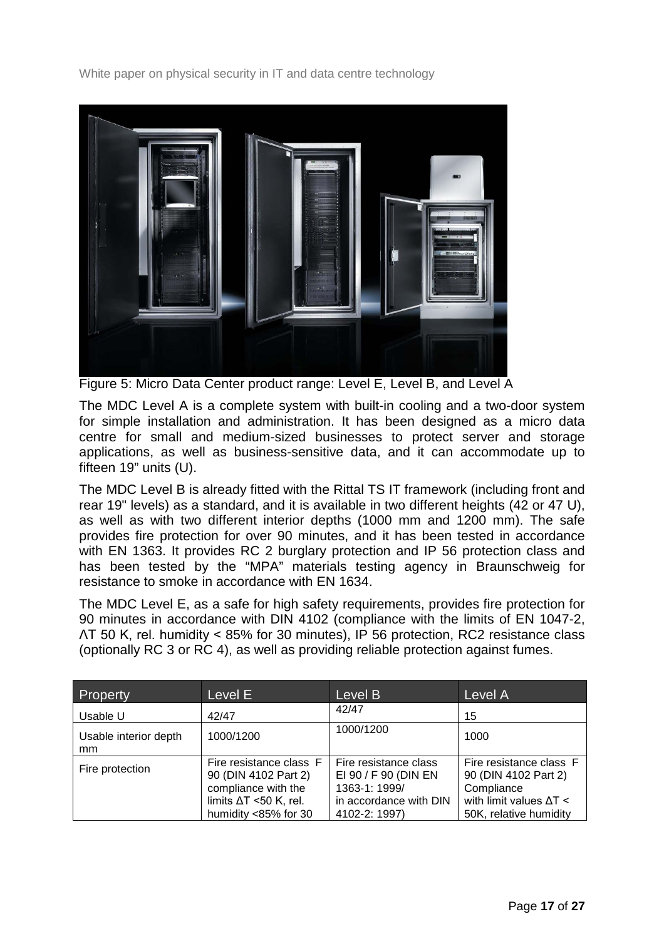

Figure 5: Micro Data Center product range: Level E, Level B, and Level A

The MDC Level A is a complete system with built-in cooling and a two-door system for simple installation and administration. It has been designed as a micro data centre for small and medium-sized businesses to protect server and storage applications, as well as business-sensitive data, and it can accommodate up to fifteen 19" units (U).

The MDC Level B is already fitted with the Rittal TS IT framework (including front and rear 19" levels) as a standard, and it is available in two different heights (42 or 47 U), as well as with two different interior depths (1000 mm and 1200 mm). The safe provides fire protection for over 90 minutes, and it has been tested in accordance with EN 1363. It provides RC 2 burglary protection and IP 56 protection class and has been tested by the "MPA" materials testing agency in Braunschweig for resistance to smoke in accordance with EN 1634.

The MDC Level E, as a safe for high safety requirements, provides fire protection for 90 minutes in accordance with DIN 4102 (compliance with the limits of EN 1047-2, ɅT 50 K, rel. humidity < 85% for 30 minutes), IP 56 protection, RC2 resistance class (optionally RC 3 or RC 4), as well as providing reliable protection against fumes.

| Property                               | Level E                                                                                                                         | Level B                                                                                                   | Level A                                                                                                                   |
|----------------------------------------|---------------------------------------------------------------------------------------------------------------------------------|-----------------------------------------------------------------------------------------------------------|---------------------------------------------------------------------------------------------------------------------------|
| Usable U                               | 42/47                                                                                                                           | 42/47                                                                                                     | 15                                                                                                                        |
| Usable interior depth<br><sub>mm</sub> | 1000/1200                                                                                                                       | 1000/1200                                                                                                 | 1000                                                                                                                      |
| Fire protection                        | Fire resistance class F<br>90 (DIN 4102 Part 2)<br>compliance with the<br>limits $\Delta T$ <50 K, rel.<br>humidity <85% for 30 | Fire resistance class<br>EI 90 / F 90 (DIN EN<br>1363-1: 1999/<br>in accordance with DIN<br>4102-2: 1997) | Fire resistance class F<br>90 (DIN 4102 Part 2)<br>Compliance<br>with limit values $\Delta T <$<br>50K, relative humidity |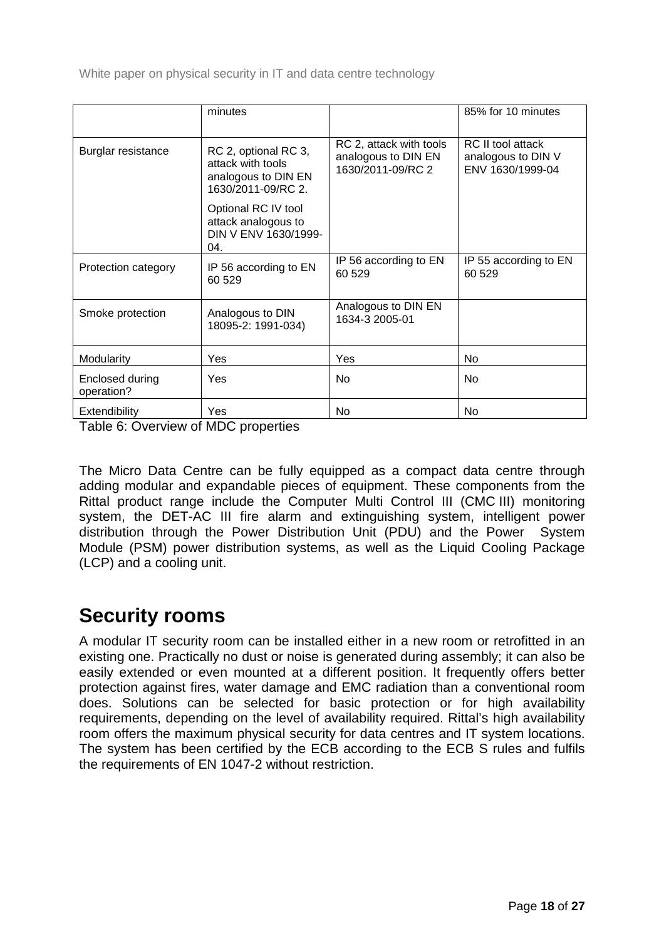|                               | minutes                                                                                |                                                                     | 85% for 10 minutes                                          |  |
|-------------------------------|----------------------------------------------------------------------------------------|---------------------------------------------------------------------|-------------------------------------------------------------|--|
| Burglar resistance            | RC 2, optional RC 3,<br>attack with tools<br>analogous to DIN EN<br>1630/2011-09/RC 2. | RC 2, attack with tools<br>analogous to DIN EN<br>1630/2011-09/RC 2 | RC II tool attack<br>analogous to DIN V<br>ENV 1630/1999-04 |  |
|                               | Optional RC IV tool<br>attack analogous to<br>DIN V ENV 1630/1999-<br>04.              |                                                                     |                                                             |  |
| Protection category           | IP 56 according to EN<br>60 529                                                        | IP 56 according to EN<br>60 529                                     | IP 55 according to EN<br>60 529                             |  |
| Smoke protection              | Analogous to DIN<br>18095-2: 1991-034)                                                 | Analogous to DIN EN<br>1634-3 2005-01                               |                                                             |  |
| Modularity                    | <b>Yes</b>                                                                             | Yes                                                                 | No                                                          |  |
| Enclosed during<br>operation? | <b>Yes</b>                                                                             | N <sub>0</sub>                                                      | <b>No</b>                                                   |  |
| Extendibility                 | Yes                                                                                    | No                                                                  | No                                                          |  |

<span id="page-17-1"></span>Table 6: Overview of MDC properties

The Micro Data Centre can be fully equipped as a compact data centre through adding modular and expandable pieces of equipment. These components from the Rittal product range include the Computer Multi Control III (CMC III) monitoring system, the DET-AC III fire alarm and extinguishing system, intelligent power distribution through the Power Distribution Unit (PDU) and the Power System Module (PSM) power distribution systems, as well as the Liquid Cooling Package (LCP) and a cooling unit.

#### <span id="page-17-0"></span>**Security rooms**

A modular IT security room can be installed either in a new room or retrofitted in an existing one. Practically no dust or noise is generated during assembly; it can also be easily extended or even mounted at a different position. It frequently offers better protection against fires, water damage and EMC radiation than a conventional room does. Solutions can be selected for basic protection or for high availability requirements, depending on the level of availability required. Rittal's high availability room offers the maximum physical security for data centres and IT system locations. The system has been certified by the ECB according to the ECB S rules and fulfils the requirements of EN 1047-2 without restriction.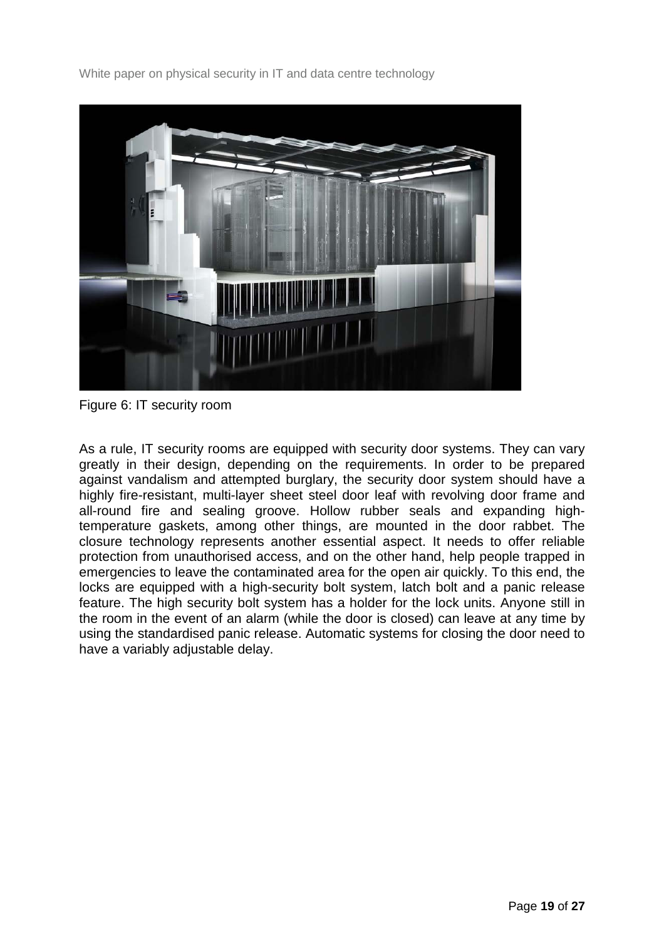

Figure 6: IT security room

As a rule, IT security rooms are equipped with security door systems. They can vary greatly in their design, depending on the requirements. In order to be prepared against vandalism and attempted burglary, the security door system should have a highly fire-resistant, multi-layer sheet steel door leaf with revolving door frame and all-round fire and sealing groove. Hollow rubber seals and expanding hightemperature gaskets, among other things, are mounted in the door rabbet. The closure technology represents another essential aspect. It needs to offer reliable protection from unauthorised access, and on the other hand, help people trapped in emergencies to leave the contaminated area for the open air quickly. To this end, the locks are equipped with a high-security bolt system, latch bolt and a panic release feature. The high security bolt system has a holder for the lock units. Anyone still in the room in the event of an alarm (while the door is closed) can leave at any time by using the standardised panic release. Automatic systems for closing the door need to have a variably adjustable delay.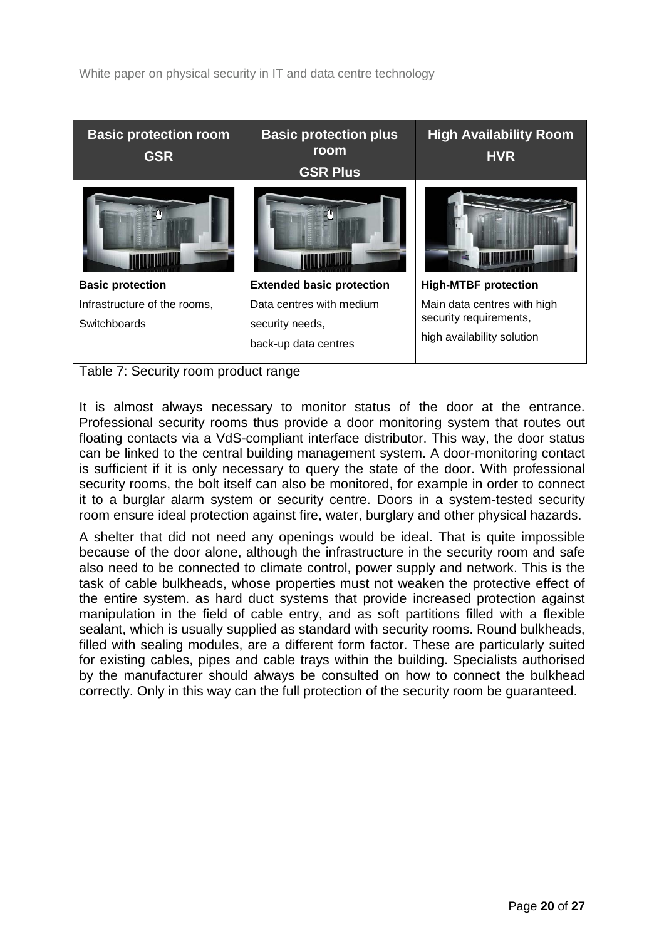| <b>Basic protection room</b><br><b>GSR</b>   | <b>Basic protection plus</b><br>room<br><b>GSR Plus</b>             | <b>High Availability Room</b><br><b>HVR</b>                                         |
|----------------------------------------------|---------------------------------------------------------------------|-------------------------------------------------------------------------------------|
|                                              |                                                                     |                                                                                     |
| <b>Basic protection</b>                      | <b>Extended basic protection</b>                                    | <b>High-MTBF protection</b>                                                         |
| Infrastructure of the rooms,<br>Switchboards | Data centres with medium<br>security needs,<br>back-up data centres | Main data centres with high<br>security requirements,<br>high availability solution |
|                                              |                                                                     |                                                                                     |

<span id="page-19-0"></span>Table 7: Security room product range

It is almost always necessary to monitor status of the door at the entrance. Professional security rooms thus provide a door monitoring system that routes out floating contacts via a VdS-compliant interface distributor. This way, the door status can be linked to the central building management system. A door-monitoring contact is sufficient if it is only necessary to query the state of the door. With professional security rooms, the bolt itself can also be monitored, for example in order to connect it to a burglar alarm system or security centre. Doors in a system-tested security room ensure ideal protection against fire, water, burglary and other physical hazards.

A shelter that did not need any openings would be ideal. That is quite impossible because of the door alone, although the infrastructure in the security room and safe also need to be connected to climate control, power supply and network. This is the task of cable bulkheads, whose properties must not weaken the protective effect of the entire system. as hard duct systems that provide increased protection against manipulation in the field of cable entry, and as soft partitions filled with a flexible sealant, which is usually supplied as standard with security rooms. Round bulkheads, filled with sealing modules, are a different form factor. These are particularly suited for existing cables, pipes and cable trays within the building. Specialists authorised by the manufacturer should always be consulted on how to connect the bulkhead correctly. Only in this way can the full protection of the security room be guaranteed.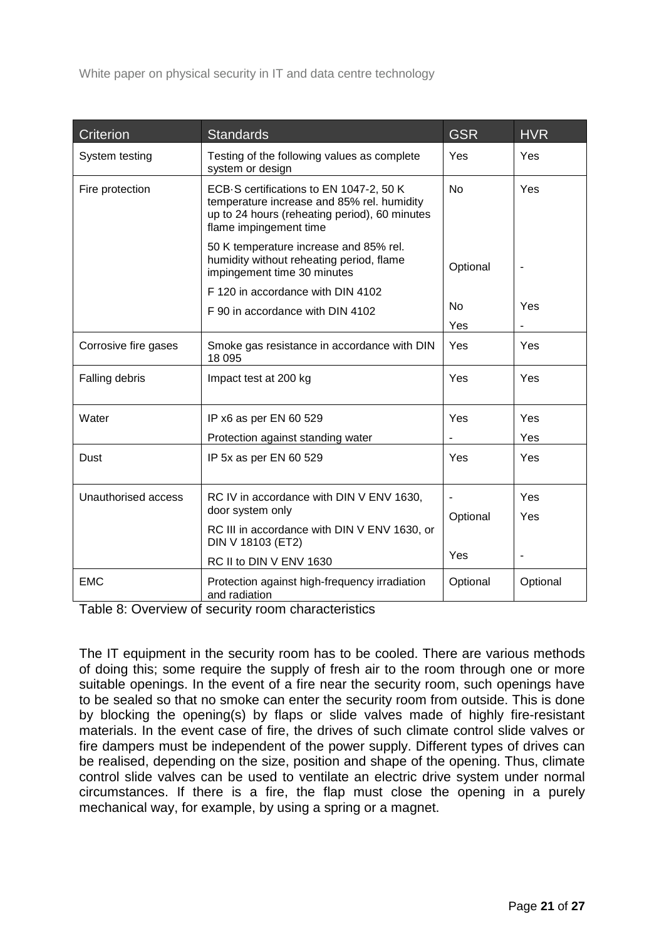| Criterion            | <b>Standards</b>                                                                                                                                                 | <b>GSR</b> | <b>HVR</b> |
|----------------------|------------------------------------------------------------------------------------------------------------------------------------------------------------------|------------|------------|
| System testing       | Testing of the following values as complete<br>system or design                                                                                                  | Yes        | Yes        |
| Fire protection      | ECB-S certifications to EN 1047-2, 50 K<br>temperature increase and 85% rel. humidity<br>up to 24 hours (reheating period), 60 minutes<br>flame impingement time | <b>No</b>  | Yes        |
|                      | 50 K temperature increase and 85% rel.<br>humidity without reheating period, flame<br>impingement time 30 minutes                                                | Optional   |            |
|                      | F 120 in accordance with DIN 4102                                                                                                                                |            |            |
|                      | F 90 in accordance with DIN 4102                                                                                                                                 | <b>No</b>  | Yes        |
|                      |                                                                                                                                                                  | Yes        |            |
| Corrosive fire gases | Smoke gas resistance in accordance with DIN<br>18 0 95                                                                                                           | Yes        | Yes        |
| Falling debris       | Impact test at 200 kg                                                                                                                                            | Yes        | Yes        |
| Water                | IP x6 as per EN 60 529                                                                                                                                           | Yes        | Yes        |
|                      | Protection against standing water                                                                                                                                |            | Yes        |
| Dust                 | IP 5x as per EN 60 529                                                                                                                                           | Yes        | Yes        |
| Unauthorised access  | RC IV in accordance with DIN V ENV 1630,                                                                                                                         |            | Yes        |
|                      | door system only                                                                                                                                                 | Optional   | Yes        |
|                      | RC III in accordance with DIN V ENV 1630, or<br>DIN V 18103 (ET2)                                                                                                |            |            |
|                      | RC II to DIN V ENV 1630                                                                                                                                          | Yes        |            |
| <b>EMC</b>           | Protection against high-frequency irradiation<br>and radiation                                                                                                   | Optional   | Optional   |

<span id="page-20-0"></span>Table 8: Overview of security room characteristics

The IT equipment in the security room has to be cooled. There are various methods of doing this; some require the supply of fresh air to the room through one or more suitable openings. In the event of a fire near the security room, such openings have to be sealed so that no smoke can enter the security room from outside. This is done by blocking the opening(s) by flaps or slide valves made of highly fire-resistant materials. In the event case of fire, the drives of such climate control slide valves or fire dampers must be independent of the power supply. Different types of drives can be realised, depending on the size, position and shape of the opening. Thus, climate control slide valves can be used to ventilate an electric drive system under normal circumstances. If there is a fire, the flap must close the opening in a purely mechanical way, for example, by using a spring or a magnet.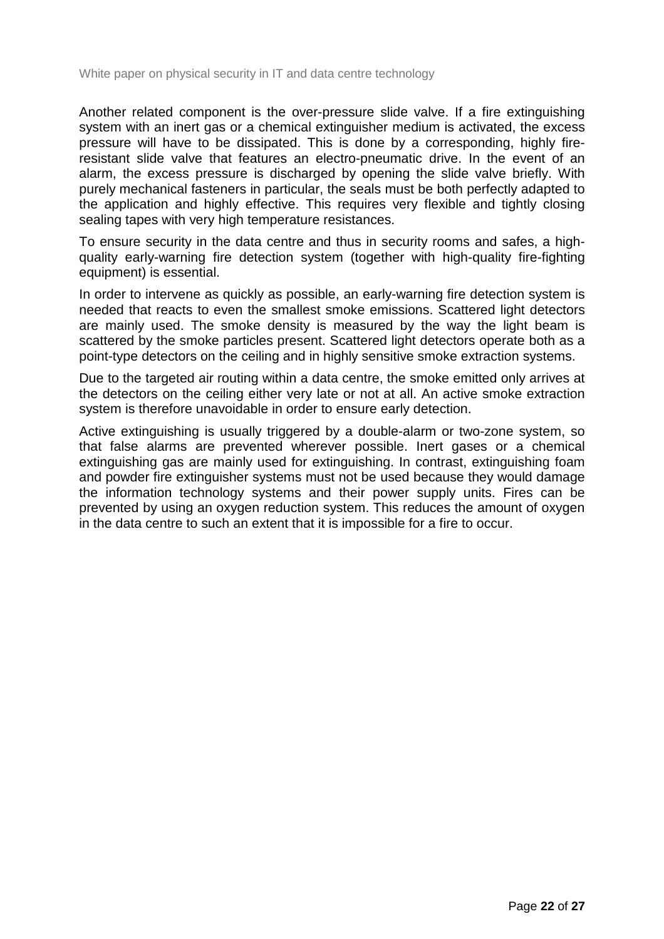Another related component is the over-pressure slide valve. If a fire extinguishing system with an inert gas or a chemical extinguisher medium is activated, the excess pressure will have to be dissipated. This is done by a corresponding, highly fireresistant slide valve that features an electro-pneumatic drive. In the event of an alarm, the excess pressure is discharged by opening the slide valve briefly. With purely mechanical fasteners in particular, the seals must be both perfectly adapted to the application and highly effective. This requires very flexible and tightly closing sealing tapes with very high temperature resistances.

To ensure security in the data centre and thus in security rooms and safes, a highquality early-warning fire detection system (together with high-quality fire-fighting equipment) is essential.

In order to intervene as quickly as possible, an early-warning fire detection system is needed that reacts to even the smallest smoke emissions. Scattered light detectors are mainly used. The smoke density is measured by the way the light beam is scattered by the smoke particles present. Scattered light detectors operate both as a point-type detectors on the ceiling and in highly sensitive smoke extraction systems.

Due to the targeted air routing within a data centre, the smoke emitted only arrives at the detectors on the ceiling either very late or not at all. An active smoke extraction system is therefore unavoidable in order to ensure early detection.

Active extinguishing is usually triggered by a double-alarm or two-zone system, so that false alarms are prevented wherever possible. Inert gases or a chemical extinguishing gas are mainly used for extinguishing. In contrast, extinguishing foam and powder fire extinguisher systems must not be used because they would damage the information technology systems and their power supply units. Fires can be prevented by using an oxygen reduction system. This reduces the amount of oxygen in the data centre to such an extent that it is impossible for a fire to occur.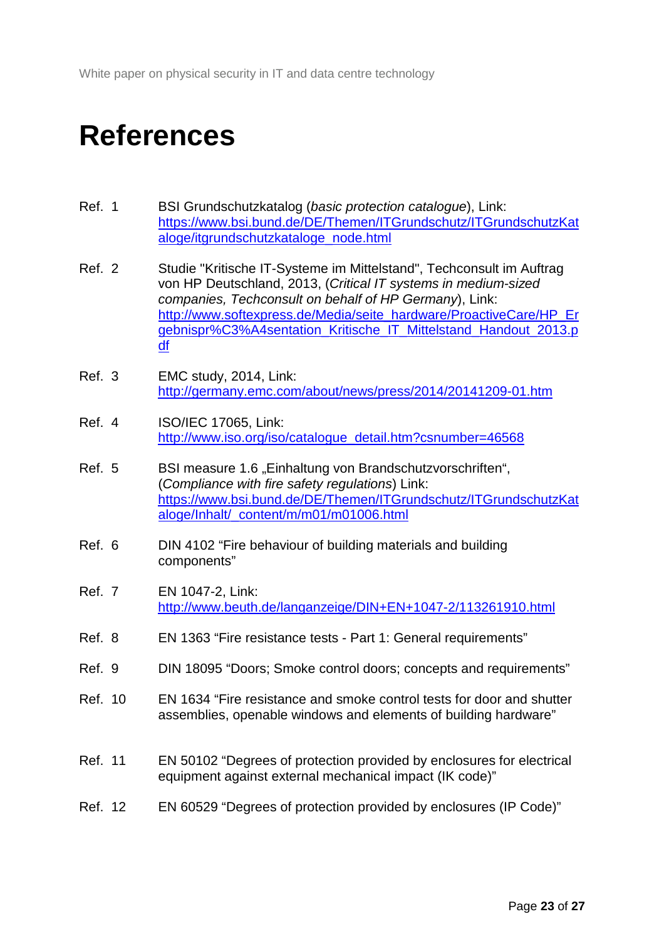### <span id="page-22-0"></span>**References**

<span id="page-22-1"></span>

| Ref. 1 | BSI Grundschutzkatalog (basic protection catalogue), Link:       |
|--------|------------------------------------------------------------------|
|        | https://www.bsi.bund.de/DE/Themen/ITGrundschutz/ITGrundschutzKat |
|        | aloge/itgrundschutzkataloge node.html                            |

- <span id="page-22-2"></span>Ref. 2 Studie "Kritische IT-Systeme im Mittelstand", Techconsult im Auftrag von HP Deutschland, 2013, (*Critical IT systems in medium-sized companies, Techconsult on behalf of HP Germany*), Link: [http://www.softexpress.de/Media/seite\\_hardware/ProactiveCare/HP\\_Er](http://www.softexpress.de/Media/seite_hardware/ProactiveCare/HP_Ergebnispr%C3%A4sentation_Kritische_IT_Mittelstand_Handout_2013.pdf) [gebnispr%C3%A4sentation\\_Kritische\\_IT\\_Mittelstand\\_Handout\\_2013.p](http://www.softexpress.de/Media/seite_hardware/ProactiveCare/HP_Ergebnispr%C3%A4sentation_Kritische_IT_Mittelstand_Handout_2013.pdf) [df](http://www.softexpress.de/Media/seite_hardware/ProactiveCare/HP_Ergebnispr%C3%A4sentation_Kritische_IT_Mittelstand_Handout_2013.pdf)
- <span id="page-22-3"></span>Ref. 3 EMC study, 2014, Link: <http://germany.emc.com/about/news/press/2014/20141209-01.htm>
- <span id="page-22-4"></span>Ref. 4 ISO/IEC 17065, Link: [http://www.iso.org/iso/catalogue\\_detail.htm?csnumber=46568](http://www.iso.org/iso/catalogue_detail.htm?csnumber=46568)
- <span id="page-22-6"></span>Ref. 5 BSI measure 1.6 "Einhaltung von Brandschutzvorschriften", (*Compliance with fire safety regulations*) Link: [https://www.bsi.bund.de/DE/Themen/ITGrundschutz/ITGrundschutzKat](https://www.bsi.bund.de/DE/Themen/ITGrundschutz/ITGrundschutzKataloge/Inhalt/_content/m/m01/m01006.html) [aloge/Inhalt/\\_content/m/m01/m01006.html](https://www.bsi.bund.de/DE/Themen/ITGrundschutz/ITGrundschutzKataloge/Inhalt/_content/m/m01/m01006.html)
- <span id="page-22-8"></span><span id="page-22-7"></span>Ref. 6 DIN 4102 "Fire behaviour of building materials and building components"
- Ref. 7 EN 1047-2, Link: <http://www.beuth.de/langanzeige/DIN+EN+1047-2/113261910.html>
- <span id="page-22-5"></span>Ref. 8 EN 1363 "Fire resistance tests - Part 1: General requirements"
- <span id="page-22-9"></span>Ref. 9 DIN 18095 "Doors; Smoke control doors; concepts and requirements"
- <span id="page-22-10"></span>Ref. 10 EN 1634 "Fire resistance and smoke control tests for door and shutter assemblies, openable windows and elements of building hardware"
- <span id="page-22-11"></span>Ref. 11 EN 50102 "Degrees of protection provided by enclosures for electrical equipment against external mechanical impact (IK code)"

#### <span id="page-22-12"></span>Ref. 12 EN 60529 "Degrees of protection provided by enclosures (IP Code)"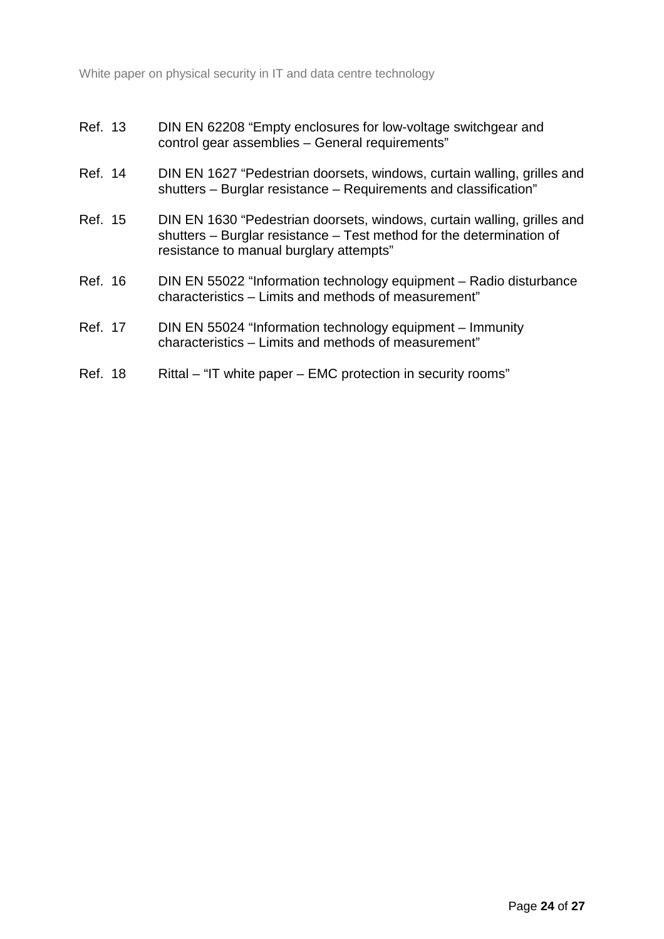- <span id="page-23-1"></span>Ref. 13 DIN EN 62208 "Empty enclosures for low-voltage switchgear and control gear assemblies – General requirements"
- <span id="page-23-2"></span>Ref. 14 DIN EN 1627 "Pedestrian doorsets, windows, curtain walling, grilles and shutters – Burglar resistance – Requirements and classification"
- <span id="page-23-3"></span>Ref. 15 DIN EN 1630 "Pedestrian doorsets, windows, curtain walling, grilles and shutters – Burglar resistance – Test method for the determination of resistance to manual burglary attempts"
- <span id="page-23-4"></span>Ref. 16 DIN EN 55022 "Information technology equipment – Radio disturbance characteristics – Limits and methods of measurement"
- <span id="page-23-5"></span>Ref. 17 DIN EN 55024 "Information technology equipment – Immunity characteristics – Limits and methods of measurement"
- <span id="page-23-6"></span><span id="page-23-0"></span>Ref. 18 Rittal – "IT white paper – EMC protection in security rooms"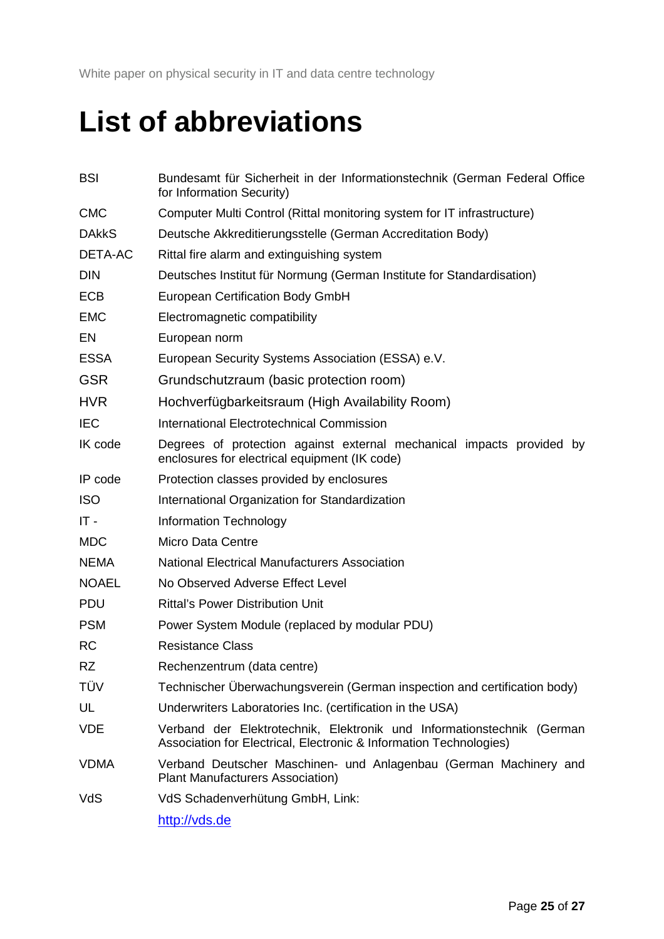### **List of abbreviations**

| <b>BSI</b>   | Bundesamt für Sicherheit in der Informationstechnik (German Federal Office<br>for Information Security)                                      |
|--------------|----------------------------------------------------------------------------------------------------------------------------------------------|
| <b>CMC</b>   | Computer Multi Control (Rittal monitoring system for IT infrastructure)                                                                      |
| <b>DAkkS</b> | Deutsche Akkreditierungsstelle (German Accreditation Body)                                                                                   |
| DETA-AC      | Rittal fire alarm and extinguishing system                                                                                                   |
| <b>DIN</b>   | Deutsches Institut für Normung (German Institute for Standardisation)                                                                        |
| <b>ECB</b>   | <b>European Certification Body GmbH</b>                                                                                                      |
| <b>EMC</b>   | Electromagnetic compatibility                                                                                                                |
| EN           | European norm                                                                                                                                |
| <b>ESSA</b>  | European Security Systems Association (ESSA) e.V.                                                                                            |
| <b>GSR</b>   | Grundschutzraum (basic protection room)                                                                                                      |
| <b>HVR</b>   | Hochverfügbarkeitsraum (High Availability Room)                                                                                              |
| <b>IEC</b>   | International Electrotechnical Commission                                                                                                    |
| IK code      | Degrees of protection against external mechanical impacts provided by<br>enclosures for electrical equipment (IK code)                       |
| IP code      | Protection classes provided by enclosures                                                                                                    |
| <b>ISO</b>   | International Organization for Standardization                                                                                               |
| $IT -$       | Information Technology                                                                                                                       |
| <b>MDC</b>   | <b>Micro Data Centre</b>                                                                                                                     |
| <b>NEMA</b>  | <b>National Electrical Manufacturers Association</b>                                                                                         |
| <b>NOAEL</b> | No Observed Adverse Effect Level                                                                                                             |
| <b>PDU</b>   | <b>Rittal's Power Distribution Unit</b>                                                                                                      |
| <b>PSM</b>   | Power System Module (replaced by modular PDU)                                                                                                |
| <b>RC</b>    | <b>Resistance Class</b>                                                                                                                      |
| <b>RZ</b>    | Rechenzentrum (data centre)                                                                                                                  |
| TÜV          | Technischer Überwachungsverein (German inspection and certification body)                                                                    |
| UL           | Underwriters Laboratories Inc. (certification in the USA)                                                                                    |
| <b>VDE</b>   | Verband der Elektrotechnik, Elektronik und Informationstechnik (German<br>Association for Electrical, Electronic & Information Technologies) |
| <b>VDMA</b>  | Verband Deutscher Maschinen- und Anlagenbau (German Machinery and<br>Plant Manufacturers Association)                                        |
| VdS          | VdS Schadenverhütung GmbH, Link:                                                                                                             |
|              | http://vds.de                                                                                                                                |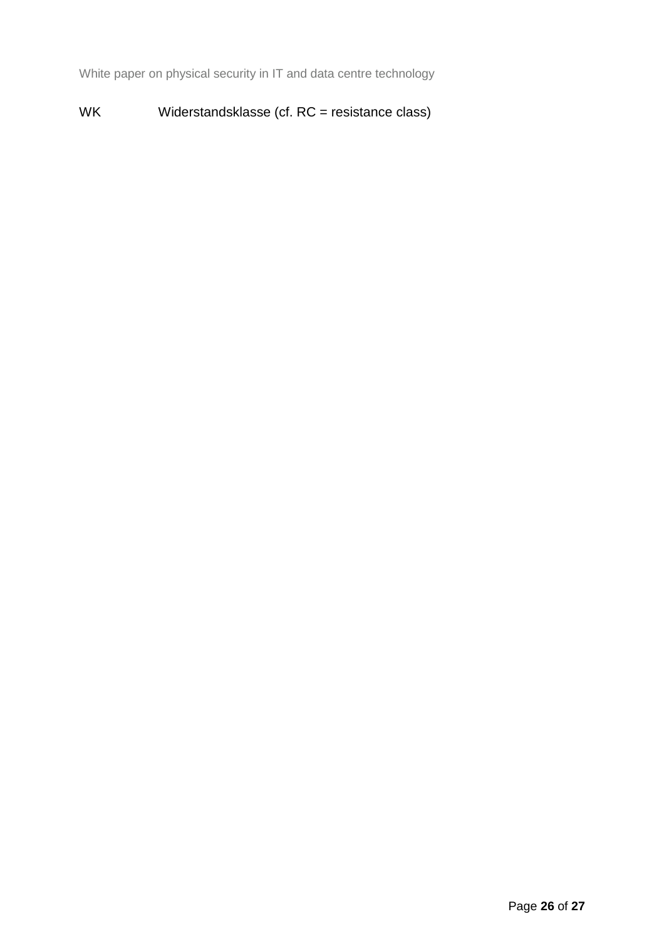#### WK Widerstandsklasse (cf. RC = resistance class)